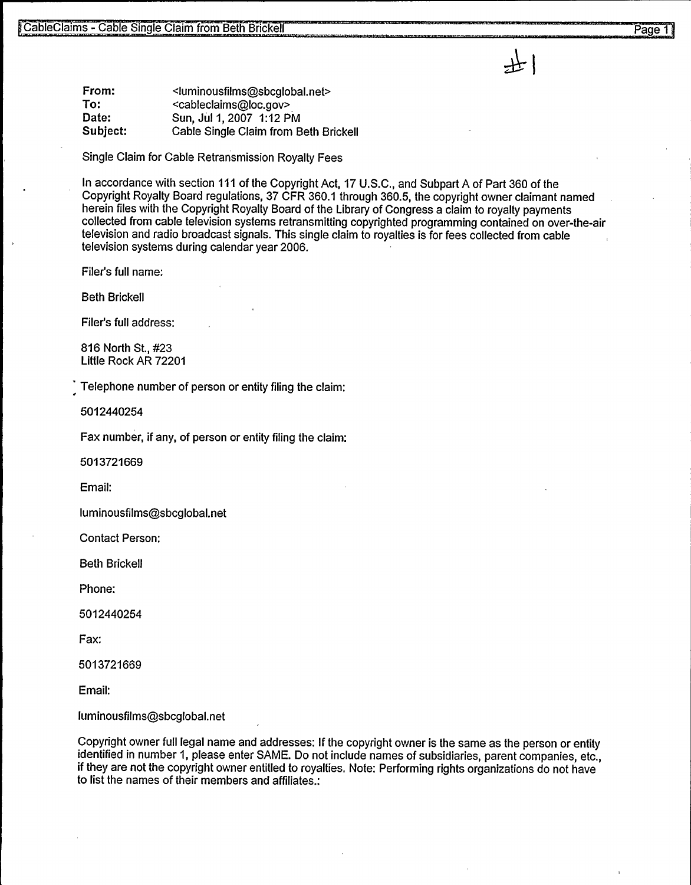From: To: Date: Subject: <luminousfilms@sbcglobal.net> <cable claims@loc.gov> Sun, Jul 1,2007 1:12 PM Cable Single Claim from Beth Brickell

Single Claim for Cable Retransmission Royalty Fees

In accordance with section 111 of the Copyright Act, 17 U.S.C., and Subpart A of Part 360 of the Copyright Royalty Board regulations, 37 CFR 360.1 through 360.5, the copyright owner claimant named herein files with the Copyright Royalty Board of the Library of Congress a claim to royalty payments collected from cable television systems retransmitting copyrighted programming contained on over-the-air television and radio broadcast signals. This single claim to royalties is for fees collected from cable television systems during calendar year 2006.

Filer's full name;

Beth Brickell

Filer's full address:

816 North St., #23 Little Rock AR 72201

Telephone number of person or entity filing the claim:

5012440254

Fax number, if any, of person or entity filing the claim:

5013721669

Email:

luminousfilms@sbcglobal.net

Contact Person:

Beth Brickell

Phone:

5012440254

Fax:

5013721669

Email:

luminousfilms@sbcglobal.net

Copyright owner full legal name and addresses: If the copyright owner is the same as the person or entity identified in number 1, please enter SAME. Do not include names of subsidiaries, parent companies, etc., if they are not the copyright owner entitled to royalties. Note: Performing rights organizations do not have to list the names of their members and affiliates.: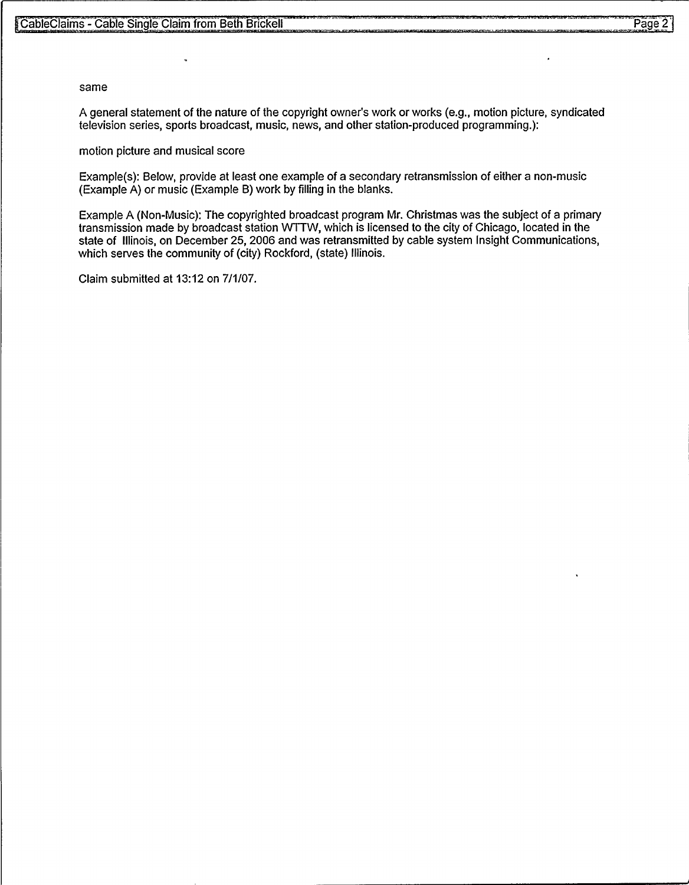## same

A general statement of the nature of the copyright owner's work or works (e.g., motion picture, syndicated television series, sports broadcast, music, news, and other station-produced programming.):

motion picture and musical score

 $\hat{\textbf{a}}$ 

Example(s): Below, provide at least one example of a secondary retransmission of either a non-music (Example A) or music (Example B) work by filling in the blanks.

Example A (Non-Music): The copyrighted broadcast program Mr. Christmas was the subject of a primary transmission made by broadcast station WTTW, which is licensed to the city of Chicago, located in the state of Illinois, on December 25, 2006 and was retransmitted by cable system Insight Communications, which serves the community of (city) Rockford, (state) Illinois.

Claim submitted at 13:12 on 7/1/07.